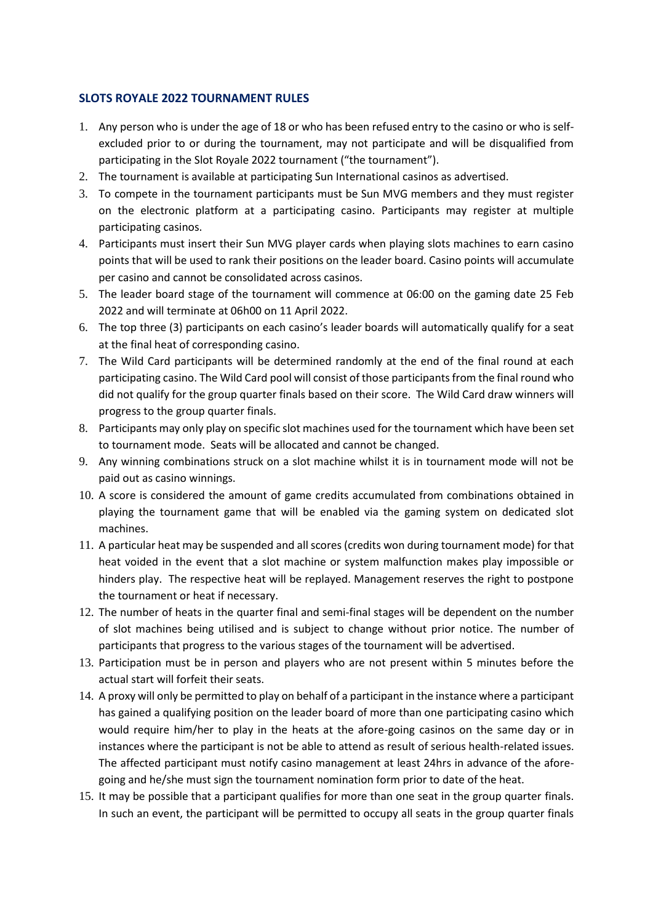## **SLOTS ROYALE 2022 TOURNAMENT RULES**

- 1. Any person who is under the age of 18 or who has been refused entry to the casino or who is selfexcluded prior to or during the tournament, may not participate and will be disqualified from participating in the Slot Royale 2022 tournament ("the tournament").
- 2. The tournament is available at participating Sun International casinos as advertised.
- 3. To compete in the tournament participants must be Sun MVG members and they must register on the electronic platform at a participating casino. Participants may register at multiple participating casinos.
- 4. Participants must insert their Sun MVG player cards when playing slots machines to earn casino points that will be used to rank their positions on the leader board. Casino points will accumulate per casino and cannot be consolidated across casinos.
- 5. The leader board stage of the tournament will commence at 06:00 on the gaming date 25 Feb 2022 and will terminate at 06h00 on 11 April 2022.
- 6. The top three (3) participants on each casino's leader boards will automatically qualify for a seat at the final heat of corresponding casino.
- 7. The Wild Card participants will be determined randomly at the end of the final round at each participating casino. The Wild Card pool will consist of those participants from the final round who did not qualify for the group quarter finals based on their score. The Wild Card draw winners will progress to the group quarter finals.
- 8. Participants may only play on specific slot machines used for the tournament which have been set to tournament mode. Seats will be allocated and cannot be changed.
- 9. Any winning combinations struck on a slot machine whilst it is in tournament mode will not be paid out as casino winnings.
- 10. A score is considered the amount of game credits accumulated from combinations obtained in playing the tournament game that will be enabled via the gaming system on dedicated slot machines.
- 11. A particular heat may be suspended and all scores (credits won during tournament mode) for that heat voided in the event that a slot machine or system malfunction makes play impossible or hinders play. The respective heat will be replayed. Management reserves the right to postpone the tournament or heat if necessary.
- 12. The number of heats in the quarter final and semi-final stages will be dependent on the number of slot machines being utilised and is subject to change without prior notice. The number of participants that progress to the various stages of the tournament will be advertised.
- 13. Participation must be in person and players who are not present within 5 minutes before the actual start will forfeit their seats.
- 14. A proxy will only be permitted to play on behalf of a participant in the instance where a participant has gained a qualifying position on the leader board of more than one participating casino which would require him/her to play in the heats at the afore-going casinos on the same day or in instances where the participant is not be able to attend as result of serious health-related issues. The affected participant must notify casino management at least 24hrs in advance of the aforegoing and he/she must sign the tournament nomination form prior to date of the heat.
- 15. It may be possible that a participant qualifies for more than one seat in the group quarter finals. In such an event, the participant will be permitted to occupy all seats in the group quarter finals